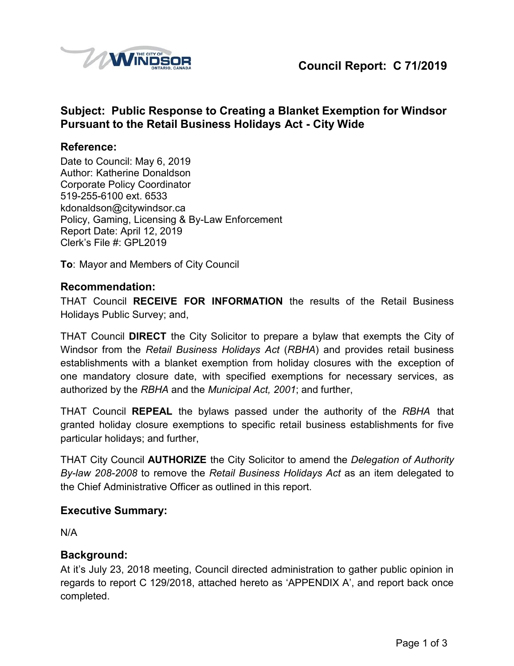

# **Subject: Public Response to Creating a Blanket Exemption for Windsor Pursuant to the Retail Business Holidays Act - City Wide**

#### **Reference:**

Date to Council: May 6, 2019 Author: Katherine Donaldson Corporate Policy Coordinator 519-255-6100 ext. 6533 [kdonaldson@citywindsor.ca](mailto:kdonaldson@citywindsor.ca) Policy, Gaming, Licensing & By-Law Enforcement Report Date: April 12, 2019 Clerk's File #: GPL2019

**To**: Mayor and Members of City Council

#### **Recommendation:**

THAT Council **RECEIVE FOR INFORMATION** the results of the Retail Business Holidays Public Survey; and,

THAT Council **DIRECT** the City Solicitor to prepare a bylaw that exempts the City of Windsor from the *Retail Business Holidays Act* (*RBHA*) and provides retail business establishments with a blanket exemption from holiday closures with the exception of one mandatory closure date, with specified exemptions for necessary services, as authorized by the *RBHA* and the *Municipal Act, 2001*; and further,

THAT Council **REPEAL** the bylaws passed under the authority of the *RBHA* that granted holiday closure exemptions to specific retail business establishments for five particular holidays; and further,

THAT City Council **AUTHORIZE** the City Solicitor to amend the *Delegation of Authority By-law 208-2008* to remove the *Retail Business Holidays Act* as an item delegated to the Chief Administrative Officer as outlined in this report.

#### **Executive Summary:**

N/A

#### **Background:**

At it's July 23, 2018 meeting, Council directed administration to gather public opinion in regards to report C 129/2018, attached hereto as 'APPENDIX A', and report back once completed.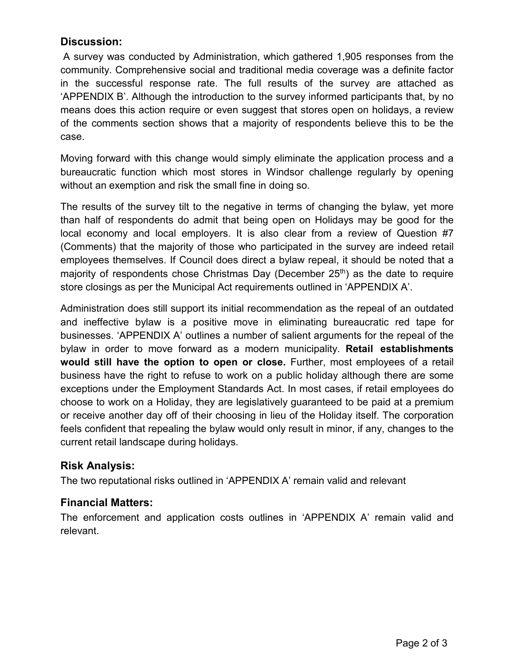## **Discussion:**

A survey was conducted by Administration, which gathered 1,905 responses from the community. Comprehensive social and traditional media coverage was a definite factor in the successful response rate. The full results of the survey are attached as 'APPENDIX B'. Although the introduction to the survey informed participants that, by no means does this action require or even suggest that stores open on holidays, a review of the comments section shows that a majority of respondents believe this to be the case.

Moving forward with this change would simply eliminate the application process and a bureaucratic function which most stores in Windsor challenge regularly by opening without an exemption and risk the small fine in doing so.

The results of the survey tilt to the negative in terms of changing the bylaw, yet more than half of respondents do admit that being open on Holidays may be good for the local economy and local employers. It is also clear from a review of Question #7 (Comments) that the majority of those who participated in the survey are indeed retail employees themselves. If Council does direct a bylaw repeal, it should be noted that a majority of respondents chose Christmas Day (December  $25<sup>th</sup>$ ) as the date to require store closings as per the Municipal Act requirements outlined in 'APPENDIX A'.

Administration does still support its initial recommendation as the repeal of an outdated and ineffective bylaw is a positive move in eliminating bureaucratic red tape for businesses. 'APPENDIX A' outlines a number of salient arguments for the repeal of the bylaw in order to move forward as a modern municipality. **Retail establishments would still have the option to open or close.** Further, most employees of a retail business have the right to refuse to work on a public holiday although there are some exceptions under the Employment Standards Act. In most cases, if retail employees do choose to work on a Holiday, they are legislatively guaranteed to be paid at a premium or receive another day off of their choosing in lieu of the Holiday itself. The corporation feels confident that repealing the bylaw would only result in minor, if any, changes to the current retail landscape during holidays.

## **Risk Analysis:**

The two reputational risks outlined in 'APPENDIX A' remain valid and relevant

## **Financial Matters:**

The enforcement and application costs outlines in 'APPENDIX A' remain valid and relevant.